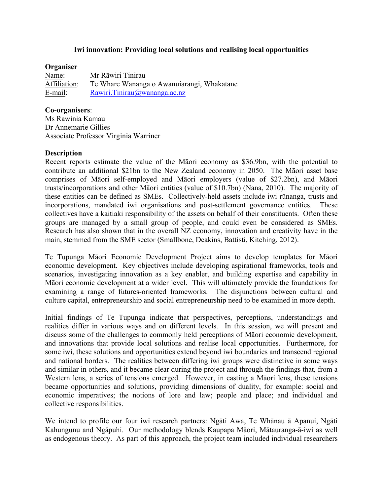### **Iwi innovation: Providing local solutions and realising local opportunities**

### **Organiser**

Name: Mr Rāwiri Tinirau Affiliation: Te Whare Wānanga o Awanuiārangi, Whakatāne E-mail: Rawiri.Tinirau@wananga.ac.nz

### **Co-organisers**:

Ms Rawinia Kamau Dr Annemarie Gillies Associate Professor Virginia Warriner

#### **Description**

Recent reports estimate the value of the Māori economy as \$36.9bn, with the potential to contribute an additional \$21bn to the New Zealand economy in 2050. The Māori asset base comprises of Māori self-employed and Māori employers (value of \$27.2bn), and Māori trusts/incorporations and other Māori entities (value of \$10.7bn) (Nana, 2010). The majority of these entities can be defined as SMEs. Collectively-held assets include iwi rūnanga, trusts and incorporations, mandated iwi organisations and post-settlement governance entities. These collectives have a kaitiaki responsibility of the assets on behalf of their constituents. Often these groups are managed by a small group of people, and could even be considered as SMEs. Research has also shown that in the overall NZ economy, innovation and creativity have in the main, stemmed from the SME sector (Smallbone, Deakins, Battisti, Kitching, 2012).

Te Tupunga Māori Economic Development Project aims to develop templates for Māori economic development. Key objectives include developing aspirational frameworks, tools and scenarios, investigating innovation as a key enabler, and building expertise and capability in Māori economic development at a wider level. This will ultimately provide the foundations for examining a range of futures-oriented frameworks. The disjunctions between cultural and culture capital, entrepreneurship and social entrepreneurship need to be examined in more depth.

Initial findings of Te Tupunga indicate that perspectives, perceptions, understandings and realities differ in various ways and on different levels. In this session, we will present and discuss some of the challenges to commonly held perceptions of Māori economic development, and innovations that provide local solutions and realise local opportunities. Furthermore, for some iwi, these solutions and opportunities extend beyond iwi boundaries and transcend regional and national borders. The realities between differing iwi groups were distinctive in some ways and similar in others, and it became clear during the project and through the findings that, from a Western lens, a series of tensions emerged. However, in casting a Māori lens, these tensions became opportunities and solutions, providing dimensions of duality, for example: social and economic imperatives; the notions of lore and law; people and place; and individual and collective responsibilities.

We intend to profile our four iwi research partners: Ngāti Awa, Te Whānau ā Apanui, Ngāti Kahungunu and Ngāpuhi. Our methodology blends Kaupapa Māori, Mātauranga-ā-iwi as well as endogenous theory. As part of this approach, the project team included individual researchers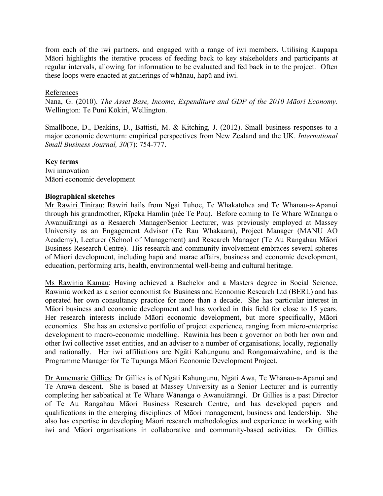from each of the iwi partners, and engaged with a range of iwi members. Utilising Kaupapa Māori highlights the iterative process of feeding back to key stakeholders and participants at regular intervals, allowing for information to be evaluated and fed back in to the project. Often these loops were enacted at gatherings of whānau, hapū and iwi.

## References

Nana, G. (2010). *The Asset Base, Income, Expenditure and GDP of the 2010 Māori Economy*. Wellington: Te Puni Kōkiri, Wellington.

Smallbone, D., Deakins, D., Battisti, M. & Kitching, J. (2012). Small business responses to a major economic downturn: empirical perspectives from New Zealand and the UK. *International Small Business Journal, 30*(7): 754-777.

# **Key terms**

Iwi innovation Māori economic development

# **Biographical sketches**

Mr Rāwiri Tinirau: Rāwiri hails from Ngāi Tūhoe, Te Whakatōhea and Te Whānau-a-Apanui through his grandmother, Rīpeka Hamlin (née Te Pou). Before coming to Te Whare Wānanga o Awanuiārangi as a Resaerch Manager/Senior Lecturer, was previously employed at Massey University as an Engagement Advisor (Te Rau Whakaara), Project Manager (MANU AO Academy), Lecturer (School of Management) and Research Manager (Te Au Rangahau Māori Business Research Centre). His research and community involvement embraces several spheres of Māori development, including hapū and marae affairs, business and economic development, education, performing arts, health, environmental well-being and cultural heritage.

Ms Rawinia Kamau: Having achieved a Bachelor and a Masters degree in Social Science, Rawinia worked as a senior economist for Business and Economic Research Ltd (BERL) and has operated her own consultancy practice for more than a decade. She has particular interest in Māori business and economic development and has worked in this field for close to 15 years. Her research interests include Māori economic development, but more specifically, Māori economics. She has an extensive portfolio of project experience, ranging from micro-enterprise development to macro-economic modelling. Rawinia has been a governor on both her own and other Iwi collective asset entities, and an adviser to a number of organisations; locally, regionally and nationally. Her iwi affiliations are Ngāti Kahungunu and Rongomaiwahine, and is the Programme Manager for Te Tupunga Māori Economic Development Project.

Dr Annemarie Gillies: Dr Gillies is of Ngāti Kahungunu, Ngāti Awa, Te Whānau-a-Apanui and Te Arawa descent. She is based at Massey University as a Senior Lecturer and is currently completing her sabbatical at Te Whare Wānanga o Awanuiārangi. Dr Gillies is a past Director of Te Au Rangahau Māori Business Research Centre, and has developed papers and qualifications in the emerging disciplines of Māori management, business and leadership. She also has expertise in developing Māori research methodologies and experience in working with iwi and Māori organisations in collaborative and community-based activities. Dr Gillies